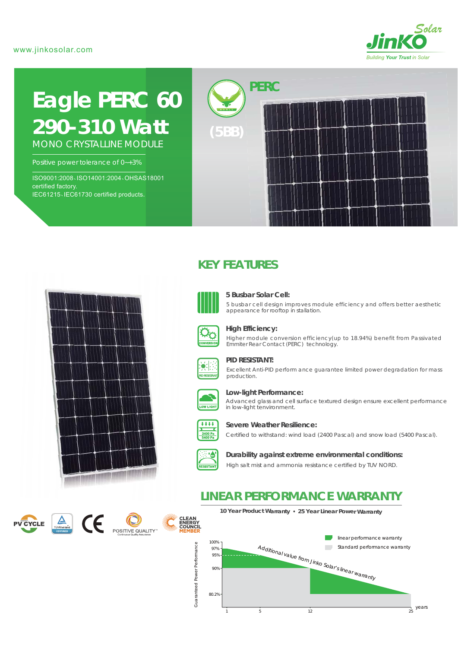

# **Eagle PERC 60** *290-310 Watt*

MONO CRYSTALLINE MODULE

Positive power tolerance of 0~+3%

ISO9001:2008、ISO14001:2004、OHSAS18001 certified factory. IEC61215、IEC61730 certified products.



# <u>na ama ama ama ama an</u>

# **KEY FEATURES**



### **5 Busbar Solar Cell:**

5 busbar cell design improves module efficiency and offers better aesthetic appearance for rooftop in stallation.



### **High Efficiency:**

Higher module conversion efficiency(up to 18.94%) benefit from Passivated Emmiter Rear Contact (PERC) technology.



### **PID RESISTANT:**

Excellent Anti-PID perform ance guarantee limited power degradation for mass production.



### **Low-light Performance:**

Advanced glass and cell surface textured design ensure excellent performance in low-light tenvironment.



### **Severe Weather Resilience:**

Certified to withstand: wind load (2400 Pascal) and snow load (5400 Pascal).



### **Durability against extreme environmental conditions:**

High salt mist and ammonia resistance certified by TUV NORD.

# **LINEAR PERFORMANCE WARRANTY**







**10 Year Product Warranty 25 Year Linear Power Warranty**